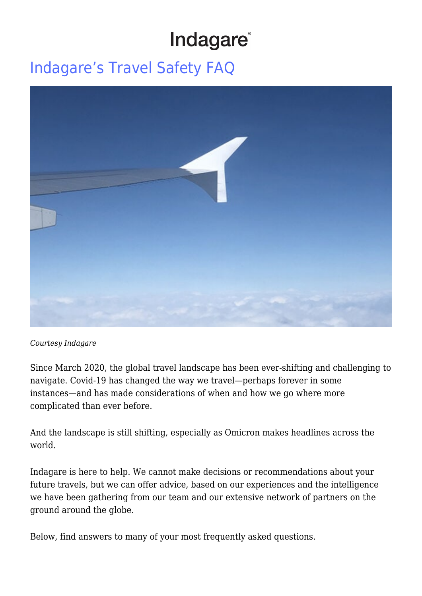# Indagare®

## [Indagare's Travel Safety FAQ](https://www.indagare.com/destinations/world/articles/coronavirus-travel-safety-faq/)



#### *Courtesy Indagare*

Since March 2020, the global travel landscape has been ever-shifting and challenging to navigate. Covid-19 has changed the way we travel—perhaps forever in some instances—and has made considerations of when and how we go where more complicated than ever before.

And the landscape is still shifting, especially as Omicron makes headlines across the world.

Indagare is here to help. We cannot make decisions or recommendations about your future travels, but we can offer advice, based on our experiences and the intelligence we have been gathering from our team and our extensive network of partners on the ground around the globe.

Below, find answers to many of your most frequently asked questions.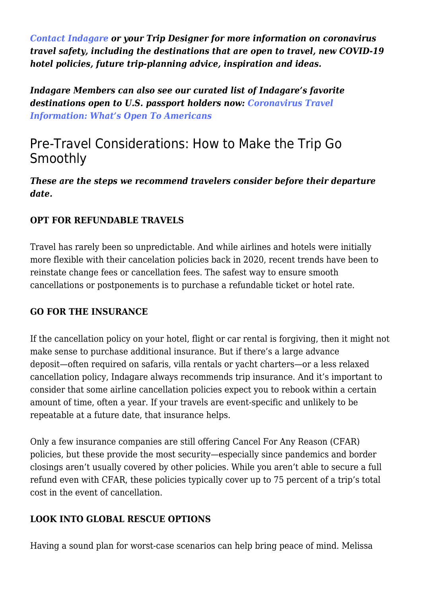*[Contact Indagare](https://www.indagare.com/contact) or your Trip Designer for more information on coronavirus travel safety, including the destinations that are open to travel, new COVID-19 hotel policies, future trip-planning advice, inspiration and ideas.*

*Indagare Members can also see our curated list of Indagare's favorite destinations open to U.S. passport holders now: [Coronavirus Travel](https://www.indagare.com/destinations/world/articles/coronavirus-travel-info) [Information: What's Open To Americans](https://www.indagare.com/destinations/world/articles/coronavirus-travel-info)*

### Pre-Travel Considerations: How to Make the Trip Go Smoothly

*These are the steps we recommend travelers consider before their departure date.*

#### **OPT FOR REFUNDABLE TRAVELS**

Travel has rarely been so unpredictable. And while airlines and hotels were initially more flexible with their cancelation policies back in 2020, recent trends have been to reinstate change fees or cancellation fees. The safest way to ensure smooth cancellations or postponements is to purchase a refundable ticket or hotel rate.

#### **GO FOR THE INSURANCE**

If the cancellation policy on your hotel, flight or car rental is forgiving, then it might not make sense to purchase additional insurance. But if there's a large advance deposit—often required on safaris, villa rentals or yacht charters—or a less relaxed cancellation policy, Indagare always recommends trip insurance. And it's important to consider that some airline cancellation policies expect you to rebook within a certain amount of time, often a year. If your travels are event-specific and unlikely to be repeatable at a future date, that insurance helps.

Only a few insurance companies are still offering Cancel For Any Reason (CFAR) policies, but these provide the most security—especially since pandemics and border closings aren't usually covered by other policies. While you aren't able to secure a full refund even with CFAR, these policies typically cover up to 75 percent of a trip's total cost in the event of cancellation.

#### **LOOK INTO GLOBAL RESCUE OPTIONS**

Having a sound plan for worst-case scenarios can help bring peace of mind. Melissa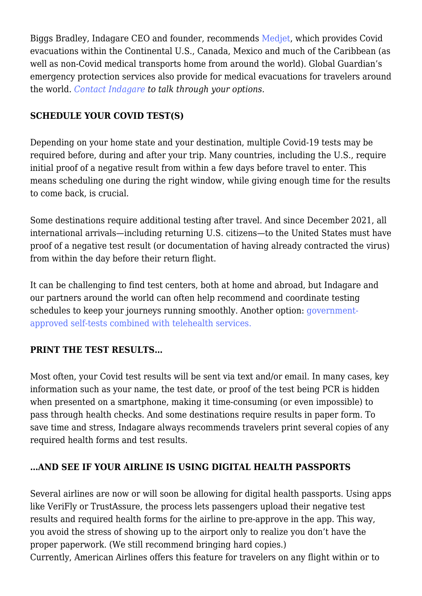Biggs Bradley, Indagare CEO and founder, recommends [Medjet,](https://medjetassist.com/Indagare) which provides Covid evacuations within the Continental U.S., Canada, Mexico and much of the Caribbean (as well as non-Covid medical transports home from around the world). Global Guardian's emergency protection services also provide for medical evacuations for travelers around the world. *[Contact Indagare](https://www.indagare.com/contact) to talk through your options.*

#### **SCHEDULE YOUR COVID TEST(S)**

Depending on your home state and your destination, multiple Covid-19 tests may be required before, during and after your trip. Many countries, including the U.S., require initial proof of a negative result from within a few days before travel to enter. This means scheduling one during the right window, while giving enough time for the results to come back, is crucial.

Some destinations require additional testing after travel. And since December 2021, all international arrivals—including returning U.S. citizens—to the United States must have proof of a negative test result (or documentation of having already contracted the virus) from within the day before their return flight.

It can be challenging to find test centers, both at home and abroad, but Indagare and our partners around the world can often help recommend and coordinate testing schedules to keep your journeys running smoothly. Another option: [government](https://www.indagare.com/destinations/world/articles/covid-tests-international-travelers)[approved self-tests combined with telehealth services.](https://www.indagare.com/destinations/world/articles/covid-tests-international-travelers)

#### **PRINT THE TEST RESULTS…**

Most often, your Covid test results will be sent via text and/or email. In many cases, key information such as your name, the test date, or proof of the test being PCR is hidden when presented on a smartphone, making it time-consuming (or even impossible) to pass through health checks. And some destinations require results in paper form. To save time and stress, Indagare always recommends travelers print several copies of any required health forms and test results.

#### **…AND SEE IF YOUR AIRLINE IS USING DIGITAL HEALTH PASSPORTS**

Several airlines are now or will soon be allowing for digital health passports. Using apps like VeriFly or TrustAssure, the process lets passengers upload their negative test results and required health forms for the airline to pre-approve in the app. This way, you avoid the stress of showing up to the airport only to realize you don't have the proper paperwork. (We still recommend bringing hard copies.)

Currently, American Airlines offers this feature for travelers on any flight within or to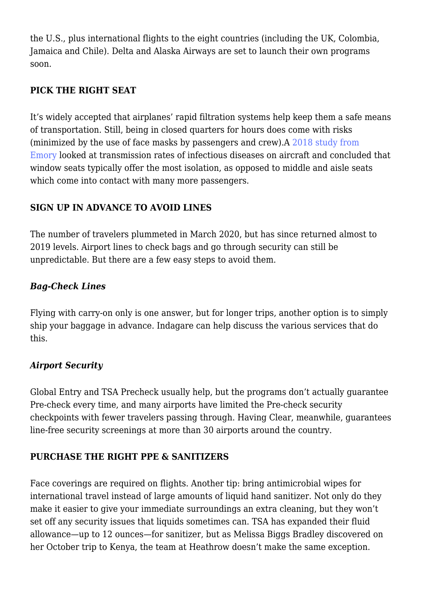the U.S., plus international flights to the eight countries (including the UK, Colombia, Jamaica and Chile). Delta and Alaska Airways are set to launch their own programs soon.

#### **PICK THE RIGHT SEAT**

It's widely accepted that airplanes' rapid filtration systems help keep them a safe means of transportation. Still, being in closed quarters for hours does come with risks (minimized by the use of face masks by passengers and crew).A [2018 study from](http://news.emory.edu/stories/2018/03/airline_disease_transmission_study/) [Emory](http://news.emory.edu/stories/2018/03/airline_disease_transmission_study/) looked at transmission rates of infectious diseases on aircraft and concluded that window seats typically offer the most isolation, as opposed to middle and aisle seats which come into contact with many more passengers.

#### **SIGN UP IN ADVANCE TO AVOID LINES**

The number of travelers plummeted in March 2020, but has since returned almost to 2019 levels. Airport lines to check bags and go through security can still be unpredictable. But there are a few easy steps to avoid them.

#### *Bag-Check Lines*

Flying with carry-on only is one answer, but for longer trips, another option is to simply ship your baggage in advance. Indagare can help discuss the various services that do this.

#### *Airport Security*

Global Entry and TSA Precheck usually help, but the programs don't actually guarantee Pre-check every time, and many airports have limited the Pre-check security checkpoints with fewer travelers passing through. Having Clear, meanwhile, guarantees line-free security screenings at more than 30 airports around the country.

#### **PURCHASE THE RIGHT PPE & SANITIZERS**

Face coverings are required on flights. Another tip: bring antimicrobial wipes for international travel instead of large amounts of liquid hand sanitizer. Not only do they make it easier to give your immediate surroundings an extra cleaning, but they won't set off any security issues that liquids sometimes can. TSA has expanded their fluid allowance—up to 12 ounces—for sanitizer, but as Melissa Biggs Bradley discovered on her October trip to Kenya, the team at Heathrow doesn't make the same exception.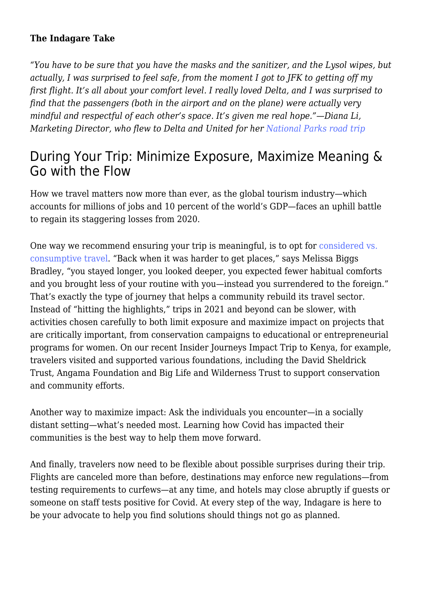#### **The Indagare Take**

*"You have to be sure that you have the masks and the sanitizer, and the Lysol wipes, but actually, I was surprised to feel safe, from the moment I got to JFK to getting off my first flight. It's all about your comfort level. I really loved Delta, and I was surprised to find that the passengers (both in the airport and on the plane) were actually very mindful and respectful of each other's space. It's given me real hope."—Diana Li, Marketing Director, who flew to Delta and United for her [National Parks road trip](https://www.indagare.com/destinations/north-america/articles/national-parks-road-trip-coronavirus)*

### During Your Trip: Minimize Exposure, Maximize Meaning & Go with the Flow

How we travel matters now more than ever, as the global tourism industry—which accounts for millions of jobs and 10 percent of the world's GDP—faces an uphill battle to regain its staggering losses from 2020.

One way we recommend ensuring your trip is meaningful, is to opt for [considered vs.](https://www.indagare.com/destinations/world/articles/the-future-of-travel-a-considered-vs-consumptive-approach) [consumptive travel](https://www.indagare.com/destinations/world/articles/the-future-of-travel-a-considered-vs-consumptive-approach). "Back when it was harder to get places," says Melissa Biggs Bradley, "you stayed longer, you looked deeper, you expected fewer habitual comforts and you brought less of your routine with you—instead you surrendered to the foreign." That's exactly the type of journey that helps a community rebuild its travel sector. Instead of "hitting the highlights," trips in 2021 and beyond can be slower, with activities chosen carefully to both limit exposure and maximize impact on projects that are critically important, from conservation campaigns to educational or entrepreneurial programs for women. On our recent Insider Journeys Impact Trip to Kenya, for example, travelers visited and supported various foundations, including the David Sheldrick Trust, Angama Foundation and Big Life and Wilderness Trust to support conservation and community efforts.

Another way to maximize impact: Ask the individuals you encounter—in a socially distant setting—what's needed most. Learning how Covid has impacted their communities is the best way to help them move forward.

And finally, travelers now need to be flexible about possible surprises during their trip. Flights are canceled more than before, destinations may enforce new regulations—from testing requirements to curfews—at any time, and hotels may close abruptly if guests or someone on staff tests positive for Covid. At every step of the way, Indagare is here to be your advocate to help you find solutions should things not go as planned.